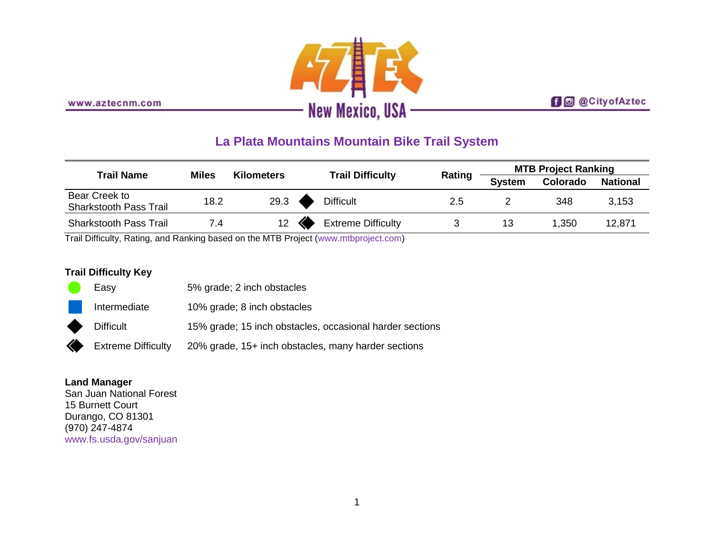

www.aztecnm.com

## **日**@CityofAztec

## **La Plata Mountains Mountain Bike Trail System**

| <b>Trail Name</b>                              | <b>Miles</b> | <b>Kilometers</b> | <b>Trail Difficulty</b> |                           |        | <b>MTB Project Ranking</b> |          |                 |
|------------------------------------------------|--------------|-------------------|-------------------------|---------------------------|--------|----------------------------|----------|-----------------|
|                                                |              |                   |                         |                           | Rating | <b>System</b>              | Colorado | <b>National</b> |
| Bear Creek to<br><b>Sharkstooth Pass Trail</b> | 18.2         | 29.3              |                         | <b>Difficult</b>          | 2.5    |                            | 348      | 3.153           |
| <b>Sharkstooth Pass Trail</b>                  | 7.4          |                   |                         | <b>Extreme Difficulty</b> |        |                            | .350     | 12,871          |

Trail Difficulty, Rating, and Ranking based on the MTB Project [\(www.mtbproject.com\)](http://www.mtbproject.com/)

### **Trail Difficulty Key**

|           | Easy               | 5% grade; 2 inch obstacles                               |
|-----------|--------------------|----------------------------------------------------------|
|           | Intermediate       | 10% grade; 8 inch obstacles                              |
| $\bullet$ | <b>Difficult</b>   | 15% grade; 15 inch obstacles, occasional harder sections |
|           | Extreme Difficulty | 20% grade, 15+ inch obstacles, many harder sections      |

#### **Land Manager**

San Juan National Forest 15 Burnett Court Durango, CO 81301 (970) 247-4874 [www.fs.usda.gov/sanjuan](http://www.fs.usda.gov/sanjuan)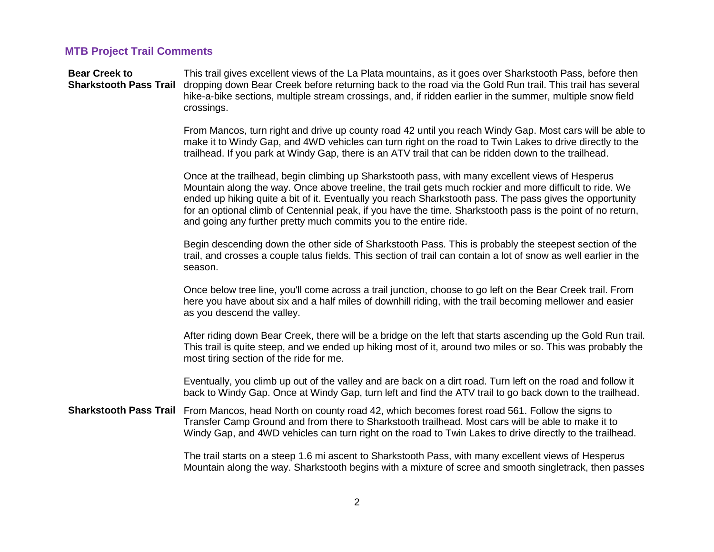#### **MTB Project Trail Comments**

# **Bear Creek to**

Sharkstooth Pass Trail dropping down Bear Creek before returning back to the road via the Gold Run trail. This trail has several This trail gives excellent views of the La Plata mountains, as it goes over Sharkstooth Pass, before then hike-a-bike sections, multiple stream crossings, and, if ridden earlier in the summer, multiple snow field crossings.

> From Mancos, turn right and drive up county road 42 until you reach Windy Gap. Most cars will be able to make it to Windy Gap, and 4WD vehicles can turn right on the road to Twin Lakes to drive directly to the trailhead. If you park at Windy Gap, there is an ATV trail that can be ridden down to the trailhead.

Once at the trailhead, begin climbing up Sharkstooth pass, with many excellent views of Hesperus Mountain along the way. Once above treeline, the trail gets much rockier and more difficult to ride. We ended up hiking quite a bit of it. Eventually you reach Sharkstooth pass. The pass gives the opportunity for an optional climb of Centennial peak, if you have the time. Sharkstooth pass is the point of no return, and going any further pretty much commits you to the entire ride.

Begin descending down the other side of Sharkstooth Pass. This is probably the steepest section of the trail, and crosses a couple talus fields. This section of trail can contain a lot of snow as well earlier in the season.

Once below tree line, you'll come across a trail junction, choose to go left on the Bear Creek trail. From here you have about six and a half miles of downhill riding, with the trail becoming mellower and easier as you descend the valley.

After riding down Bear Creek, there will be a bridge on the left that starts ascending up the Gold Run trail. This trail is quite steep, and we ended up hiking most of it, around two miles or so. This was probably the most tiring section of the ride for me.

Eventually, you climb up out of the valley and are back on a dirt road. Turn left on the road and follow it back to Windy Gap. Once at Windy Gap, turn left and find the ATV trail to go back down to the trailhead.

**Sharkstooth Pass Trail** From Mancos, head North on county road 42, which becomes forest road 561. Follow the signs to Transfer Camp Ground and from there to Sharkstooth trailhead. Most cars will be able to make it to Windy Gap, and 4WD vehicles can turn right on the road to Twin Lakes to drive directly to the trailhead.

> The trail starts on a steep 1.6 mi ascent to Sharkstooth Pass, with many excellent views of Hesperus Mountain along the way. Sharkstooth begins with a mixture of scree and smooth singletrack, then passes